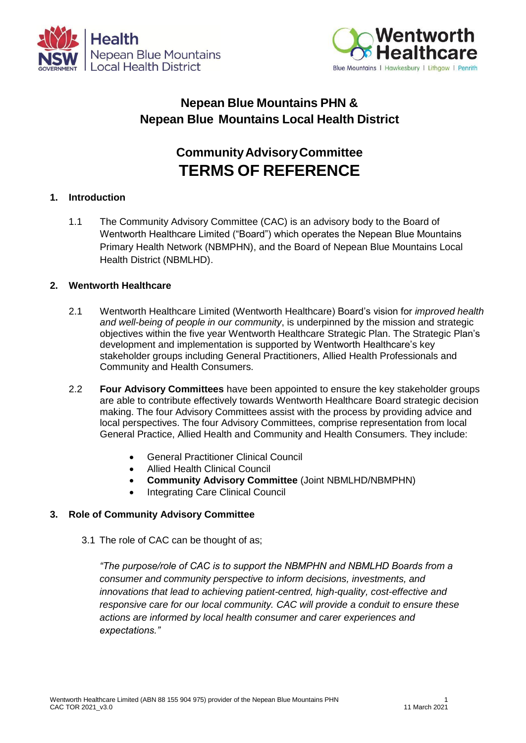



## **Nepean Blue Mountains PHN & Nepean Blue Mountains Local Health District**

# **CommunityAdvisoryCommittee TERMS OF REFERENCE**

#### **1. Introduction**

1.1 The Community Advisory Committee (CAC) is an advisory body to the Board of Wentworth Healthcare Limited ("Board") which operates the Nepean Blue Mountains Primary Health Network (NBMPHN), and the Board of Nepean Blue Mountains Local Health District (NBMLHD).

#### **2. Wentworth Healthcare**

- 2.1 Wentworth Healthcare Limited (Wentworth Healthcare) Board's vision for *improved health and well-being of people in our community*, is underpinned by the mission and strategic objectives within the five year Wentworth Healthcare Strategic Plan. The Strategic Plan's development and implementation is supported by Wentworth Healthcare's key stakeholder groups including General Practitioners, Allied Health Professionals and Community and Health Consumers.
- 2.2 **Four Advisory Committees** have been appointed to ensure the key stakeholder groups are able to contribute effectively towards Wentworth Healthcare Board strategic decision making. The four Advisory Committees assist with the process by providing advice and local perspectives. The four Advisory Committees, comprise representation from local General Practice, Allied Health and Community and Health Consumers. They include:
	- General Practitioner Clinical Council
	- Allied Health Clinical Council
	- **Community Advisory Committee** (Joint NBMLHD/NBMPHN)
	- Integrating Care Clinical Council

#### **3. Role of Community Advisory Committee**

3.1 The role of CAC can be thought of as;

*"The purpose/role of CAC is to support the NBMPHN and NBMLHD Boards from a consumer and community perspective to inform decisions, investments, and innovations that lead to achieving patient-centred, high-quality, cost-effective and responsive care for our local community. CAC will provide a conduit to ensure these actions are informed by local health consumer and carer experiences and expectations."*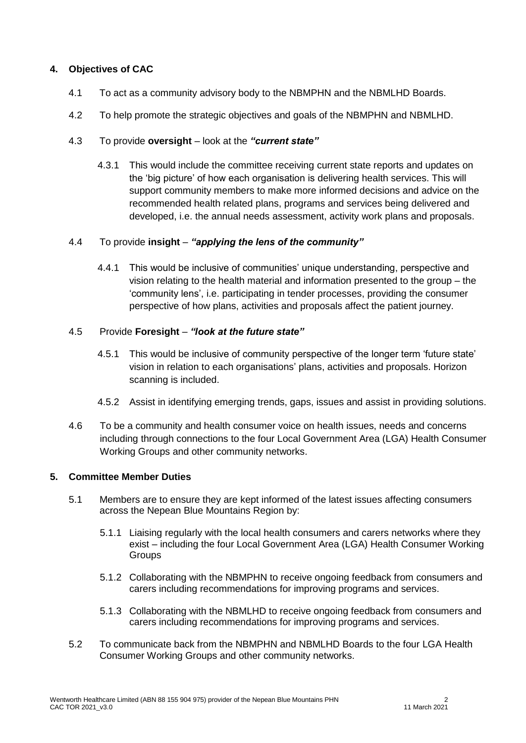#### **4. Objectives of CAC**

- 4.1 To act as a community advisory body to the NBMPHN and the NBMLHD Boards.
- 4.2 To help promote the strategic objectives and goals of the NBMPHN and NBMLHD.

#### 4.3 To provide **oversight** – look at the *"current state"*

4.3.1 This would include the committee receiving current state reports and updates on the 'big picture' of how each organisation is delivering health services. This will support community members to make more informed decisions and advice on the recommended health related plans, programs and services being delivered and developed, i.e. the annual needs assessment, activity work plans and proposals.

#### 4.4 To provide **insight** – *"applying the lens of the community"*

4.4.1 This would be inclusive of communities' unique understanding, perspective and vision relating to the health material and information presented to the group – the 'community lens', i.e. participating in tender processes, providing the consumer perspective of how plans, activities and proposals affect the patient journey.

#### 4.5 Provide **Foresight** – *"look at the future state"*

- 4.5.1 This would be inclusive of community perspective of the longer term 'future state' vision in relation to each organisations' plans, activities and proposals. Horizon scanning is included.
- 4.5.2 Assist in identifying emerging trends, gaps, issues and assist in providing solutions.
- 4.6 To be a community and health consumer voice on health issues, needs and concerns including through connections to the four Local Government Area (LGA) Health Consumer Working Groups and other community networks.

#### **5. Committee Member Duties**

- 5.1 Members are to ensure they are kept informed of the latest issues affecting consumers across the Nepean Blue Mountains Region by:
	- 5.1.1 Liaising regularly with the local health consumers and carers networks where they exist – including the four Local Government Area (LGA) Health Consumer Working **Groups**
	- 5.1.2 Collaborating with the NBMPHN to receive ongoing feedback from consumers and carers including recommendations for improving programs and services.
	- 5.1.3 Collaborating with the NBMLHD to receive ongoing feedback from consumers and carers including recommendations for improving programs and services.
- 5.2 To communicate back from the NBMPHN and NBMLHD Boards to the four LGA Health Consumer Working Groups and other community networks.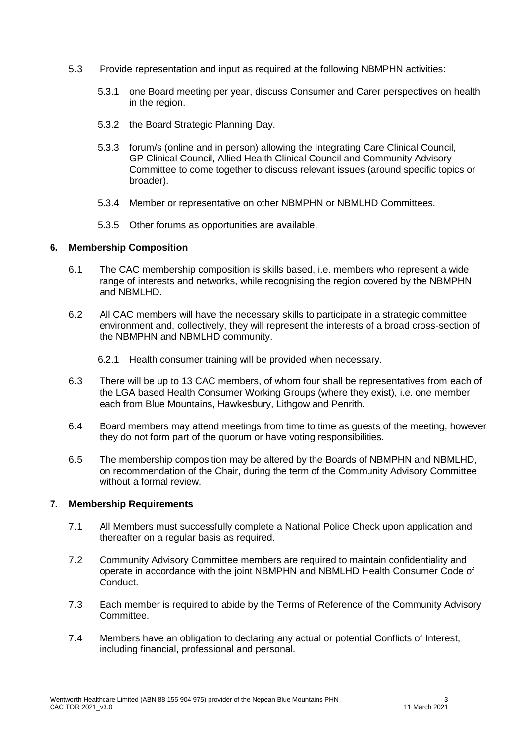- 5.3 Provide representation and input as required at the following NBMPHN activities:
	- 5.3.1 one Board meeting per year, discuss Consumer and Carer perspectives on health in the region.
	- 5.3.2 the Board Strategic Planning Day.
	- 5.3.3 forum/s (online and in person) allowing the Integrating Care Clinical Council, GP Clinical Council, Allied Health Clinical Council and Community Advisory Committee to come together to discuss relevant issues (around specific topics or broader).
	- 5.3.4 Member or representative on other NBMPHN or NBMLHD Committees.
	- 5.3.5 Other forums as opportunities are available.

#### **6. Membership Composition**

- 6.1 The CAC membership composition is skills based, i.e. members who represent a wide range of interests and networks, while recognising the region covered by the NBMPHN and NBMLHD.
- 6.2 All CAC members will have the necessary skills to participate in a strategic committee environment and, collectively, they will represent the interests of a broad cross-section of the NBMPHN and NBMLHD community.
	- 6.2.1 Health consumer training will be provided when necessary.
- 6.3 There will be up to 13 CAC members, of whom four shall be representatives from each of the LGA based Health Consumer Working Groups (where they exist), i.e. one member each from Blue Mountains, Hawkesbury, Lithgow and Penrith.
- 6.4 Board members may attend meetings from time to time as guests of the meeting, however they do not form part of the quorum or have voting responsibilities.
- 6.5 The membership composition may be altered by the Boards of NBMPHN and NBMLHD, on recommendation of the Chair, during the term of the Community Advisory Committee without a formal review.

#### **7. Membership Requirements**

- 7.1 All Members must successfully complete a National Police Check upon application and thereafter on a regular basis as required.
- 7.2 Community Advisory Committee members are required to maintain confidentiality and operate in accordance with the joint NBMPHN and NBMLHD Health Consumer Code of Conduct.
- 7.3 Each member is required to abide by the Terms of Reference of the Community Advisory Committee.
- 7.4 Members have an obligation to declaring any actual or potential Conflicts of Interest, including financial, professional and personal.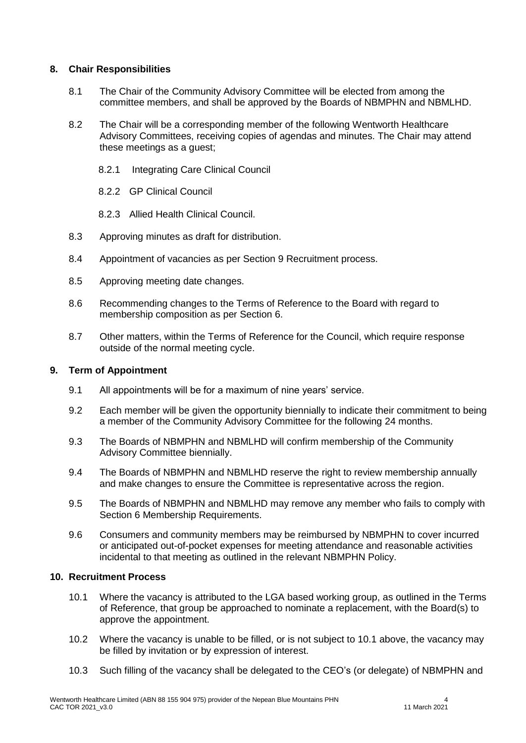#### **8. Chair Responsibilities**

- 8.1 The Chair of the Community Advisory Committee will be elected from among the committee members, and shall be approved by the Boards of NBMPHN and NBMLHD.
- 8.2 The Chair will be a corresponding member of the following Wentworth Healthcare Advisory Committees, receiving copies of agendas and minutes. The Chair may attend these meetings as a guest;
	- 8.2.1 Integrating Care Clinical Council
	- 8.2.2 GP Clinical Council
	- 8.2.3 Allied Health Clinical Council.
- 8.3 Approving minutes as draft for distribution.
- 8.4 Appointment of vacancies as per Section 9 Recruitment process.
- 8.5 Approving meeting date changes.
- 8.6 Recommending changes to the Terms of Reference to the Board with regard to membership composition as per Section 6.
- 8.7 Other matters, within the Terms of Reference for the Council, which require response outside of the normal meeting cycle.

#### **9. Term of Appointment**

- 9.1 All appointments will be for a maximum of nine years' service.
- 9.2 Each member will be given the opportunity biennially to indicate their commitment to being a member of the Community Advisory Committee for the following 24 months.
- 9.3 The Boards of NBMPHN and NBMLHD will confirm membership of the Community Advisory Committee biennially.
- 9.4 The Boards of NBMPHN and NBMLHD reserve the right to review membership annually and make changes to ensure the Committee is representative across the region.
- 9.5 The Boards of NBMPHN and NBMLHD may remove any member who fails to comply with Section 6 Membership Requirements.
- 9.6 Consumers and community members may be reimbursed by NBMPHN to cover incurred or anticipated out-of-pocket expenses for meeting attendance and reasonable activities incidental to that meeting as outlined in the relevant NBMPHN Policy.

### **10. Recruitment Process**

- 10.1 Where the vacancy is attributed to the LGA based working group, as outlined in the Terms of Reference, that group be approached to nominate a replacement, with the Board(s) to approve the appointment.
- 10.2 Where the vacancy is unable to be filled, or is not subject to 10.1 above, the vacancy may be filled by invitation or by expression of interest.
- 10.3 Such filling of the vacancy shall be delegated to the CEO's (or delegate) of NBMPHN and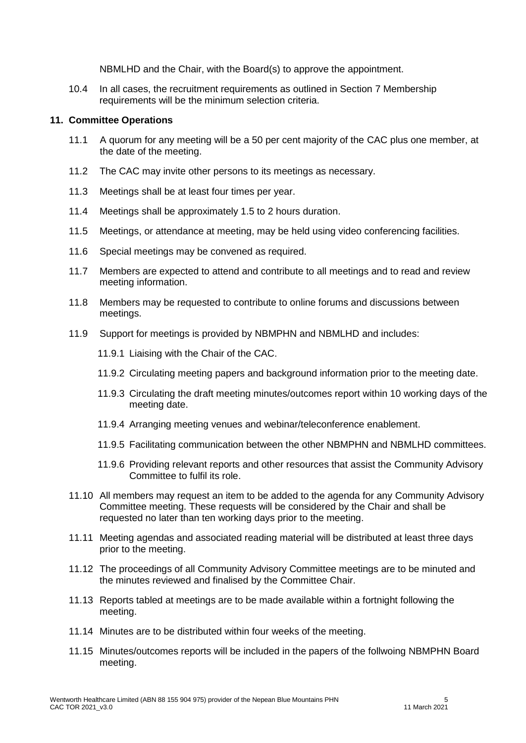NBMLHD and the Chair, with the Board(s) to approve the appointment.

10.4 In all cases, the recruitment requirements as outlined in Section 7 Membership requirements will be the minimum selection criteria.

#### **11. Committee Operations**

- 11.1 A quorum for any meeting will be a 50 per cent majority of the CAC plus one member, at the date of the meeting.
- 11.2 The CAC may invite other persons to its meetings as necessary.
- 11.3 Meetings shall be at least four times per year.
- 11.4 Meetings shall be approximately 1.5 to 2 hours duration.
- 11.5 Meetings, or attendance at meeting, may be held using video conferencing facilities.
- 11.6 Special meetings may be convened as required.
- 11.7 Members are expected to attend and contribute to all meetings and to read and review meeting information.
- 11.8 Members may be requested to contribute to online forums and discussions between meetings.
- 11.9 Support for meetings is provided by NBMPHN and NBMLHD and includes:
	- 11.9.1 Liaising with the Chair of the CAC.
	- 11.9.2 Circulating meeting papers and background information prior to the meeting date.
	- 11.9.3 Circulating the draft meeting minutes/outcomes report within 10 working days of the meeting date.
	- 11.9.4 Arranging meeting venues and webinar/teleconference enablement.
	- 11.9.5 Facilitating communication between the other NBMPHN and NBMLHD committees.
	- 11.9.6 Providing relevant reports and other resources that assist the Community Advisory Committee to fulfil its role.
- 11.10 All members may request an item to be added to the agenda for any Community Advisory Committee meeting. These requests will be considered by the Chair and shall be requested no later than ten working days prior to the meeting.
- 11.11 Meeting agendas and associated reading material will be distributed at least three days prior to the meeting.
- 11.12 The proceedings of all Community Advisory Committee meetings are to be minuted and the minutes reviewed and finalised by the Committee Chair.
- 11.13 Reports tabled at meetings are to be made available within a fortnight following the meeting.
- 11.14 Minutes are to be distributed within four weeks of the meeting.
- 11.15 Minutes/outcomes reports will be included in the papers of the follwoing NBMPHN Board meeting.